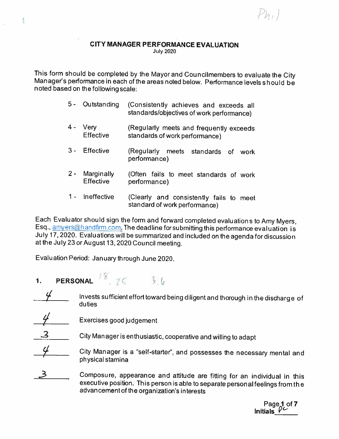/

#### CITY MANAGER PERFORMANCE EVALUATION July 2020

This form should be completed by the Mayor and Councilmembers to evaluate the City Man ager's performance in each of the areas noted below. Performance levels should be noted based on the following scale:

- 5- Outstanding (Consistently achieves and exceeds all standards/objectives of work performance)
- 4 Very (Regularly meets and frequently exceeds<br>Effective standards of work performance) standards of work performance)
- <sup>3</sup> Effective (Regularly meets standards of work performance)
- 2 Marginally (Often fails to meet standards of work Effective performance)
- <sup>1</sup> Ineffective (Clearly and consistently fails to meet standard of work performance)

Each Evaluator should sign the form and forward completed evaluations to Amy Myers, Esq., amyers@handfirm.com. The deadline for submitting this performance evaluation is July 17,2020. Evaluations will be summarized and included on the agenda for discussion at the July23 or August 13,2020 Council meeting.

Evaluation Period: January through June 2020.

1. PERSONAL  $8, 76, 36$ 

ţ.

- Invests sufficient effort toward being diligent and thorough in the discharge of duties
- Exercises good judgement
- City Manager is enthusiastic, cooperative and willing to adapt
- City Manager is a "self-starter", and possesses the necessary mental and physical stamina
- Composure, appearance and attitude are fitting for an individual in this executive position. This person is able to separate personal feelings from the advan cement of the organization's interests

Page 1 of 7<br>Initials  $\rho$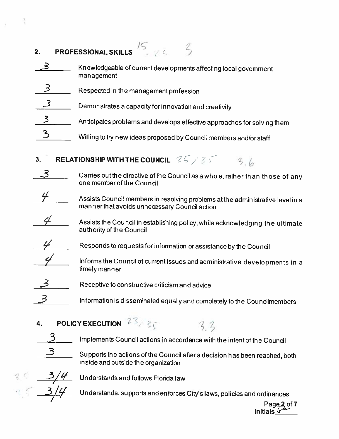| <b>PROFESSIONAL SKILLS</b><br>2. |                                                                               |  |
|----------------------------------|-------------------------------------------------------------------------------|--|
|                                  | Knowledgeable of current developments affecting local govemment<br>management |  |
|                                  | Respected in the management profession                                        |  |
|                                  | Demonstrates a capacity for innovation and creativity                         |  |
|                                  | Anticipates problems and develops effective approaches for solving them       |  |
|                                  | Willing to try new ideas proposed by Council members and/or staff             |  |

- 3. RELATIONSHIP WITH THE COUNCIL  $25/35$  3.6
	- $3\,$   $\_$  Carries out the directive of the Council as a whole, rather than those of any one member of the Council
	- Assists Council members in resolving problems at the administrative level in a man ner that avoids unnecessary Council action
- Assists the Council in establishing policy, while acknowledging the ultimate authority of the Council
- Responds to requests for information or assistance by the Council
	- Informs the Council of current issues and administrative developments in a timely manner
- Receptive to constructive criticism and advice
	- Information is disseminated equally and completely to the Councilmembers
- 4. POLICY EXECUTION  $23/36$
- $\mathcal{Z}_{\text{max}}$  Implements Council actions in accordance with the intent of the Council
	- Supports the actions of the Council after a decision has been reached, both inside and outside the organization

- Z

 $\frac{3/4}{4}$  Understands and follows Florida law

Understands, supports and enforces City's laws, policies and ordinances

Page**.2** of 7 Initials  $\mathscr{C}^\ast$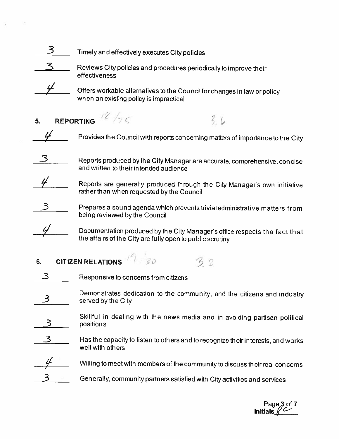



 $\mathbf S$  Reviews City policies and procedures periodically to improve their effectiveness



Offers workable alternatives to the Council for changes in law or policy when an existing policy is impracticai

5. REPORTING  $\frac{12}{36}$ 

Provides the Council with reports concerning matters of importance to the City

 $36$ 

 $\mathbf{3}_{\text{max}}$  Reports produced by the City Manager are accurate, comprehensive, concise and written to their intended audience



Reports are generally produced through the City Manager's own initiative rather than when requested by the Council





Docu mentation produced by the City Manager's office respects the fact that the affairs of the City are fully open to public scrutiny

# 6. CITIZEN RELATIONS  $197.30$  30 32

- Responsive to concerns from citizens
- Demonstrates dedication to the community, and the citizens and industry served by the City
- Skillful in dealing with the news media and in avoiding partisan political positions
- Has the capacity to listen to others and to recognize their interests, and works wellwith others
- Willing to meet with members of the community to discuss their real concerns
- 3 Gen erally. community partners satisfied with City activities and services

Page,3 of 7 Initials  $/\mathbb{C}$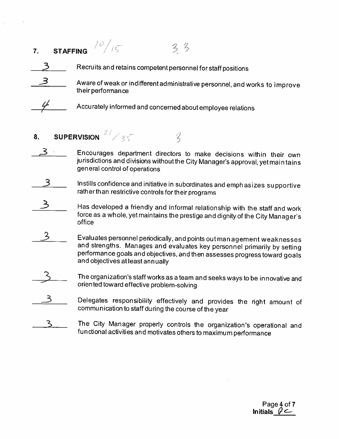## **7.** STAFFING  $\frac{10}{15}$  $33$



Aware of weak or indifferent administrative personnel, and works to improve their performance



Accurately informed and concerned about employee relations

- 8. SUPERVISION  $\frac{27}{25}$ 
	- Encourages department directors to make decisions within their own jurisdictions and divisions without the City Manager's approval, yet maintains general control of operations

ζ

- Instills confidence and initiative in subordinates and emphasizes supportive rather than restrictive controls for their programs
- Has developed a friendly and informal relationship with the staff and work force as <sup>a</sup> whole, yet maintains the prestige and dignity of the City Manager's office
- $\overline{\mathsf{3}}$ Evaluates personnel periodically, and points outman agement weaknesses and strengths. Manages and evaluates key personnel primarily by setting performance goals and objectives, and then assesses progress toward goals and objectives atleastannually
- The organization's staff works as a team and seeks ways to be innovative and oriented toward effective problem-solving
- Delegates responsibility effectively and provides the right amount of communication to staff during the course of the year
- The City Manager properly controls the organization's operational and functional activities and motivates others to maximum performance

Page4of7 Initials  $\varphi$   $\subset$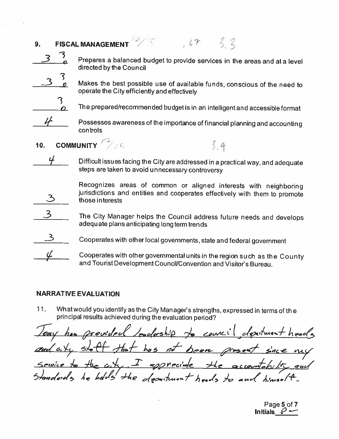| 9 <sub>1</sub> | <b>FISCAL MANAGEMENT</b>                                                                                                            |
|----------------|-------------------------------------------------------------------------------------------------------------------------------------|
|                | Prepares a balanced budget to provide services in the areas and at a level<br>directed by the Council                               |
|                | Makes the best possible use of available funds, conscious of the need to<br>operate the City efficiently and effectively            |
|                | The prepared/recommended budget is in an intelligent and accessible format                                                          |
|                | Possesses awareness of the importance of financial planning and accounting<br>controls                                              |
| 10.            | <b>COMMUNITY</b> 20                                                                                                                 |
|                | Difficult issues facing the City are addressed in a practical way, and adequate<br>steps are taken to avoid unnecessary controversy |

 $1.5 - 1.1$ 

Recognizes areas of common or aligned interests with neighboring jurisdictions and entities and cooperates effectively with them to promote those interests

3 The City Manager helps the Council address future needs and develops adequate plans anticipating long term trends

Cooperates with other local governments, state and federal government

Cooperates with other governmental units in the region such as the County and Tourist Development Council/Convention and Visitor's Bureau.

## **NARRATIVE EVALUATION**

What would you identify as the City Manager's strengths, expressed in terms of the  $11.$ principal results achieved during the evaluation period?

provided bodoship to council department heads our hos that has not been grosset since my  $a \times c$ رڪ the city. I apprecible accountability and Standards he holds the descritment heads to and himself.

Page 5 of 7 Initials  $\varnothing$  -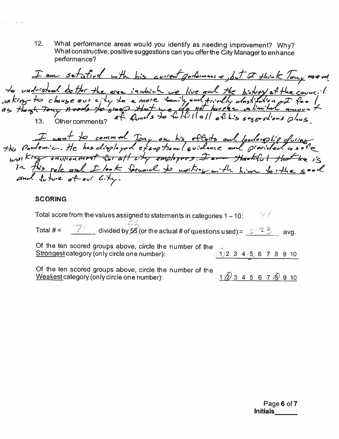$12.$ What performance areas would you identify as needing improvement? Why? What constructive, positive suggestions can you offer the City Manager to enhance performance?

I am setisfied with his current garlowance, but I think Tony merel to understand better the order in which we live and the history of the council<br>Joiking to change our city to a more family and trially dostitution I feel.<br>as though Tony Access to grap that we cla not have an imital amount I want to comment Tony on his efforts and leadorsplip cluims in this role and I look forward to norting with him for the good

### **SCORING**

 $7/$ Total score from the values assigned to statements in categories  $1 - 10$ :  $\frac{7!}{2!}$  divided by 55 (or the actual # of questions used) =  $\frac{3!}{2!}$  23 Total  $# =$ avq. Of the ten scored groups above, circle the number of the  $(1)$  2 3 4 5 6 7 8 9 10 Strongest category (only circle one number): Of the ten scored groups above, circle the number of the  $1\overline{2}$  3 4 5 6 7  $\overline{3}$  9 10 Weakest category (only circle one number):